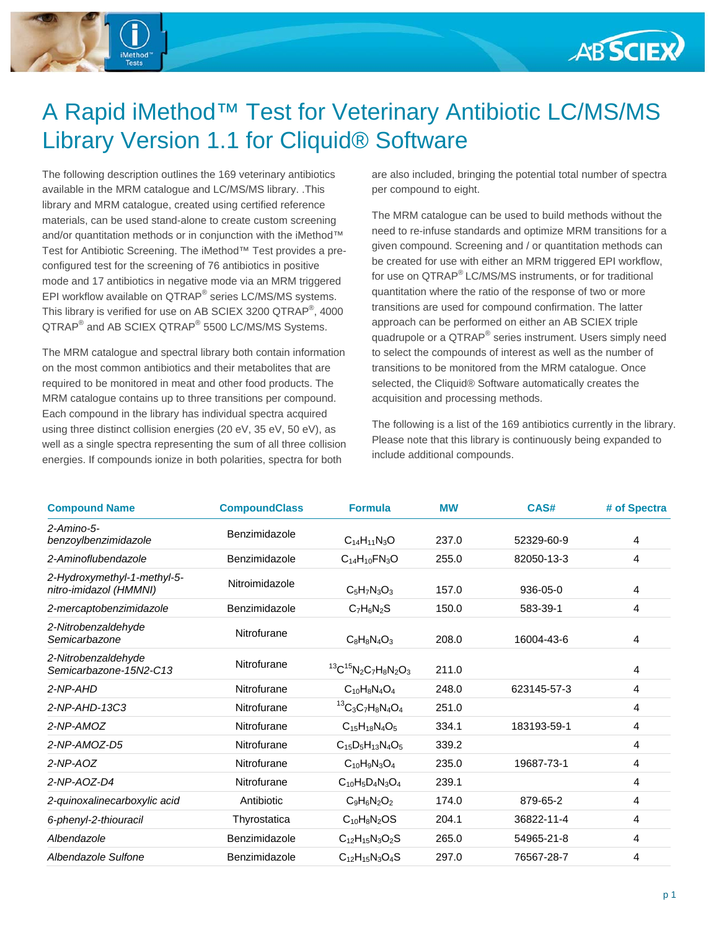

#### A Rapid iMethod™ Test for Veterinary Antibiotic LC/MS/MS Library Version 1.1 for Cliquid® Software

The following description outlines the 169 veterinary antibiotics available in the MRM catalogue and LC/MS/MS library. .This library and MRM catalogue, created using certified reference materials, can be used stand-alone to create custom screening and/or quantitation methods or in conjunction with the iMethod™ Test for Antibiotic Screening. The iMethod™ Test provides a preconfigured test for the screening of 76 antibiotics in positive mode and 17 antibiotics in negative mode via an MRM triggered EPI workflow available on QTRAP® series LC/MS/MS systems. This library is verified for use on AB SCIEX 3200 QTRAP®, 4000 QTRAP<sup>®</sup> and AB SCIEX QTRAP<sup>®</sup> 5500 LC/MS/MS Systems.

The MRM catalogue and spectral library both contain information on the most common antibiotics and their metabolites that are required to be monitored in meat and other food products. The MRM catalogue contains up to three transitions per compound. Each compound in the library has individual spectra acquired using three distinct collision energies (20 eV, 35 eV, 50 eV), as well as a single spectra representing the sum of all three collision energies. If compounds ionize in both polarities, spectra for both

are also included, bringing the potential total number of spectra per compound to eight.

The MRM catalogue can be used to build methods without the need to re-infuse standards and optimize MRM transitions for a given compound. Screening and / or quantitation methods can be created for use with either an MRM triggered EPI workflow, for use on QTRAP® LC/MS/MS instruments, or for traditional quantitation where the ratio of the response of two or more transitions are used for compound confirmation. The latter approach can be performed on either an AB SCIEX triple quadrupole or a QTRAP® series instrument. Users simply need to select the compounds of interest as well as the number of transitions to be monitored from the MRM catalogue. Once selected, the Cliquid® Software automatically creates the acquisition and processing methods.

The following is a list of the 169 antibiotics currently in the library. Please note that this library is continuously being expanded to include additional compounds.

| <b>Compound Name</b>                                  | <b>CompoundClass</b> | <b>Formula</b>                    | <b>MW</b> | CAS#        | # of Spectra |
|-------------------------------------------------------|----------------------|-----------------------------------|-----------|-------------|--------------|
| $2-Amino-5-$<br>benzoylbenzimidazole                  | Benzimidazole        | $C_{14}H_{11}N_{3}O$              | 237.0     | 52329-60-9  | 4            |
| 2-Aminoflubendazole                                   | Benzimidazole        | $C_{14}H_{10}FN_{3}O$             | 255.0     | 82050-13-3  | 4            |
| 2-Hydroxymethyl-1-methyl-5-<br>nitro-imidazol (HMMNI) | Nitroimidazole       | $C_5H_7N_3O_3$                    | 157.0     | 936-05-0    | 4            |
| 2-mercaptobenzimidazole                               | Benzimidazole        | $C_7H_6N_2S$                      | 150.0     | 583-39-1    | 4            |
| 2-Nitrobenzaldehyde<br>Semicarbazone                  | Nitrofurane          | $C_8H_8N_4O_3$                    | 208.0     | 16004-43-6  | 4            |
| 2-Nitrobenzaldehyde<br>Semicarbazone-15N2-C13         | Nitrofurane          | ${}^{13}C {}^{15}N_2C_7H_8N_2O_3$ | 211.0     |             | 4            |
| 2-NP-AHD                                              | Nitrofurane          | $C_{10}H_8N_4O_4$                 | 248.0     | 623145-57-3 | 4            |
| $2-NP-AHD-13C3$                                       | Nitrofurane          | ${}^{13}C_3C_7H_8N_4O_4$          | 251.0     |             | 4            |
| 2-NP-AMOZ                                             | Nitrofurane          | $C15H18N4O5$                      | 334.1     | 183193-59-1 | 4            |
| $2-NP-AMOZ-DS$                                        | Nitrofurane          | $C_{15}D_5H_{13}N_4O_5$           | 339.2     |             | 4            |
| $2-NP-AOZ$                                            | Nitrofurane          | $C_{10}H_9N_3O_4$                 | 235.0     | 19687-73-1  | 4            |
| 2-NP-AOZ-D4                                           | Nitrofurane          | $C_{10}H_5D_4N_3O_4$              | 239.1     |             | 4            |
| 2-quinoxalinecarboxylic acid                          | Antibiotic           | $C_9H_6N_2O_2$                    | 174.0     | 879-65-2    | 4            |
| 6-phenyl-2-thiouracil                                 | Thyrostatica         | $C_{10}H_8N_2OS$                  | 204.1     | 36822-11-4  | 4            |
| Albendazole                                           | Benzimidazole        | $C_{12}H_{15}N_3O_2S$             | 265.0     | 54965-21-8  | 4            |
| Albendazole Sulfone                                   | Benzimidazole        | $C_{12}H_{15}N_3O_4S$             | 297.0     | 76567-28-7  | 4            |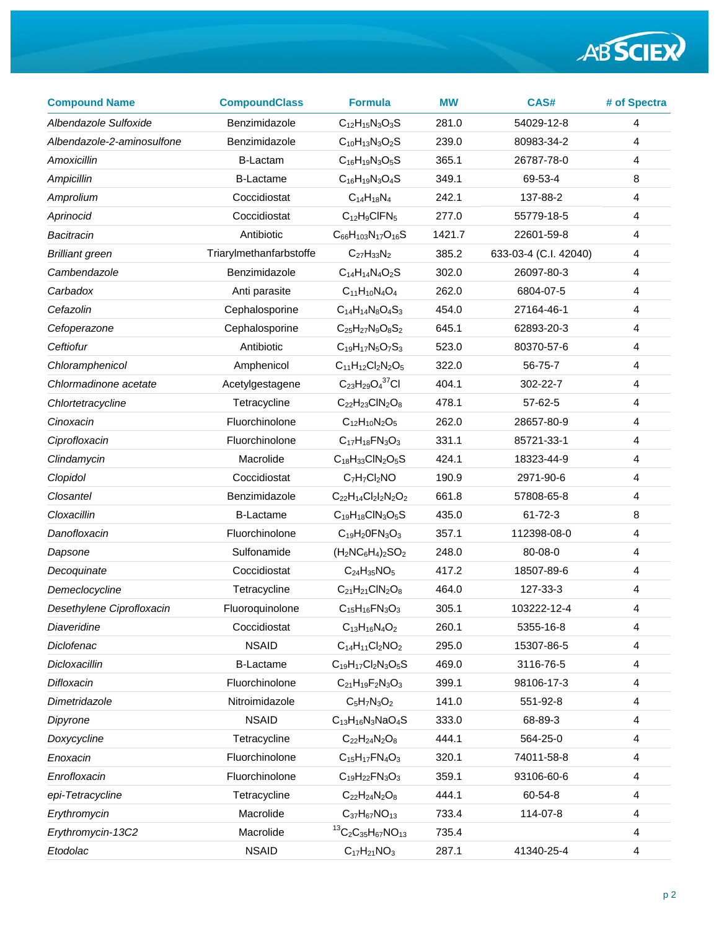| <b>Compound Name</b>       | <b>CompoundClass</b>    | <b>Formula</b>                      | <b>MW</b> | CAS#                  | # of Spectra |
|----------------------------|-------------------------|-------------------------------------|-----------|-----------------------|--------------|
| Albendazole Sulfoxide      | Benzimidazole           | $C_{12}H_{15}N_3O_3S$               | 281.0     | 54029-12-8            | 4            |
| Albendazole-2-aminosulfone | Benzimidazole           | $C_{10}H_{13}N_3O_2S$               | 239.0     | 80983-34-2            | 4            |
| Amoxicillin                | <b>B-Lactam</b>         | $C_{16}H_{19}N_3O_5S$               | 365.1     | 26787-78-0            | 4            |
| Ampicillin                 | <b>B-Lactame</b>        | $C_{16}H_{19}N_3O_4S$               | 349.1     | 69-53-4               | 8            |
| Amprolium                  | Coccidiostat            | $C_{14}H_{18}N_4$                   | 242.1     | 137-88-2              | 4            |
| Aprinocid                  | Coccidiostat            | $C_{12}H_9CIFN_5$                   | 277.0     | 55779-18-5            | 4            |
| Bacitracin                 | Antibiotic              | $C_{66}H_{103}N_{17}O_{16}S$        | 1421.7    | 22601-59-8            | 4            |
| <b>Brilliant green</b>     | Triarylmethanfarbstoffe | $C_{27}H_{33}N_2$                   | 385.2     | 633-03-4 (C.I. 42040) | 4            |
| Cambendazole               | Benzimidazole           | $C_{14}H_{14}N_{4}O_{2}S$           | 302.0     | 26097-80-3            | 4            |
| Carbadox                   | Anti parasite           | $C_{11}H_{10}N_4O_4$                | 262.0     | 6804-07-5             | 4            |
| Cefazolin                  | Cephalosporine          | $C_{14}H_{14}N_8O_4S_3$             | 454.0     | 27164-46-1            | 4            |
| Cefoperazone               | Cephalosporine          | $C_{25}H_{27}N_9O_8S_2$             | 645.1     | 62893-20-3            | 4            |
| Ceftiofur                  | Antibiotic              | $C_{19}H_{17}N_5O_7S_3$             | 523.0     | 80370-57-6            | 4            |
| Chloramphenicol            | Amphenicol              | $C_{11}H_{12}Cl_2N_2O_5$            | 322.0     | 56-75-7               | 4            |
| Chlormadinone acetate      | Acetylgestagene         | $C_{23}H_{29}O_4^{37}Cl$            | 404.1     | 302-22-7              | 4            |
| Chlortetracycline          | Tetracycline            | $C_{22}H_{23}CIN_2O_8$              | 478.1     | $57-62-5$             | 4            |
| Cinoxacin                  | Fluorchinolone          | $C_{12}H_{10}N_2O_5$                | 262.0     | 28657-80-9            | 4            |
| Ciprofloxacin              | Fluorchinolone          | $C_{17}H_{18}FN_{3}O_{3}$           | 331.1     | 85721-33-1            | 4            |
| Clindamycin                | Macrolide               | $C_{18}H_{33}CIN_2O_5S$             | 424.1     | 18323-44-9            | 4            |
| Clopidol                   | Coccidiostat            | $C_7H_7Cl_2NO$                      | 190.9     | 2971-90-6             | 4            |
| <b>Closantel</b>           | Benzimidazole           | $C_{22}H_{14}Cl_{2}I_{2}N_{2}O_{2}$ | 661.8     | 57808-65-8            | 4            |
| Cloxacillin                | <b>B-Lactame</b>        | $C_{19}H_{18}CIN_3O_5S$             | 435.0     | $61 - 72 - 3$         | 8            |
| Danofloxacin               | Fluorchinolone          | $C_{19}H_{2}0FN_{3}O_{3}$           | 357.1     | 112398-08-0           | 4            |
| Dapsone                    | Sulfonamide             | $(H_2NC_6H_4)_2SO_2$                | 248.0     | 80-08-0               | 4            |
| Decoquinate                | Coccidiostat            | $C_{24}H_{35}NO_5$                  | 417.2     | 18507-89-6            | 4            |
| Demeclocycline             | Tetracycline            | $C_{21}H_{21}CIN_2O_8$              | 464.0     | 127-33-3              | 4            |
| Desethylene Ciprofloxacin  | Fluoroquinolone         | $C_{15}H_{16}FN_{3}O_{3}$           | 305.1     | 103222-12-4           | 4            |
| Diaveridine                | Coccidiostat            | $C_{13}H_{16}N_4O_2$                | 260.1     | 5355-16-8             | 4            |
| Diclofenac                 | <b>NSAID</b>            | $C_{14}H_{11}Cl_2NO_2$              | 295.0     | 15307-86-5            | 4            |
| Dicloxacillin              | <b>B-Lactame</b>        | $C_{19}H_{17}Cl_2N_3O_5S$           | 469.0     | 3116-76-5             | 4            |
| Difloxacin                 | Fluorchinolone          | $C_{21}H_{19}F_{2}N_{3}O_{3}$       | 399.1     | 98106-17-3            | 4            |
| Dimetridazole              | Nitroimidazole          | $C_5H_7N_3O_2$                      | 141.0     | 551-92-8              | 4            |
| Dipyrone                   | <b>NSAID</b>            | $C_{13}H_{16}N_3NaO_4S$             | 333.0     | 68-89-3               | 4            |
| Doxycycline                | Tetracycline            | $C_{22}H_{24}N_{2}O_{8}$            | 444.1     | 564-25-0              | 4            |
| Enoxacin                   | Fluorchinolone          | $C_{15}H_{17}FN_{4}O_{3}$           | 320.1     | 74011-58-8            | 4            |
| Enrofloxacin               | Fluorchinolone          | $C_{19}H_{22}FN_{3}O_{3}$           | 359.1     | 93106-60-6            | 4            |
| epi-Tetracycline           | Tetracycline            | $C_{22}H_{24}N_{2}O_{8}$            | 444.1     | 60-54-8               | 4            |
| Erythromycin               | Macrolide               | $C_{37}H_{67}NO_{13}$               | 733.4     | 114-07-8              | 4            |
| Erythromycin-13C2          | Macrolide               | ${}^{13}C_2C_{35}H_{67}NO_{13}$     | 735.4     |                       | 4            |
| Etodolac                   | <b>NSAID</b>            | $C_{17}H_{21}NO_3$                  | 287.1     | 41340-25-4            | 4            |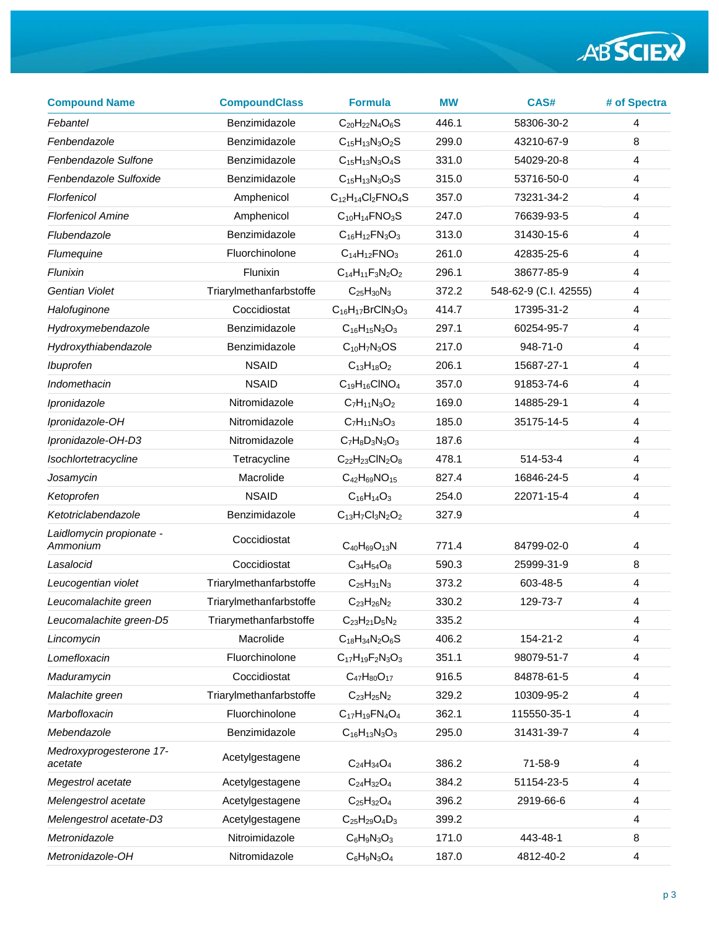| <b>Compound Name</b>                 | <b>CompoundClass</b>    | <b>Formula</b>                | <b>MW</b> | CAS#                  | # of Spectra |
|--------------------------------------|-------------------------|-------------------------------|-----------|-----------------------|--------------|
| Febantel                             | Benzimidazole           | $C_{20}H_{22}N_{4}O_{6}S$     | 446.1     | 58306-30-2            | 4            |
| Fenbendazole                         | Benzimidazole           | $C_{15}H_{13}N_3O_2S$         | 299.0     | 43210-67-9            | 8            |
| Fenbendazole Sulfone                 | Benzimidazole           | $C_{15}H_{13}N_3O_4S$         | 331.0     | 54029-20-8            | 4            |
| Fenbendazole Sulfoxide               | Benzimidazole           | $C_{15}H_{13}N_3O_3S$         | 315.0     | 53716-50-0            | 4            |
| Florfenicol                          | Amphenicol              | $C_{12}H_{14}Cl_2FNO_4S$      | 357.0     | 73231-34-2            | 4            |
| <b>Florfenicol Amine</b>             | Amphenicol              | $C_{10}H_{14}FNO_3S$          | 247.0     | 76639-93-5            | 4            |
| Flubendazole                         | Benzimidazole           | $C_{16}H_{12}FN_{3}O_{3}$     | 313.0     | 31430-15-6            | 4            |
| Flumequine                           | Fluorchinolone          | $C_{14}H_{12}FNO_3$           | 261.0     | 42835-25-6            | 4            |
| Flunixin                             | Flunixin                | $C_{14}H_{11}F_3N_2O_2$       | 296.1     | 38677-85-9            | 4            |
| Gentian Violet                       | Triarylmethanfarbstoffe | $C_{25}H_{30}N_3$             | 372.2     | 548-62-9 (C.I. 42555) | 4            |
| Halofuginone                         | Coccidiostat            | $C_{16}H_{17}BrClN_3O_3$      | 414.7     | 17395-31-2            | 4            |
| Hydroxymebendazole                   | Benzimidazole           | $C_{16}H_{15}N_3O_3$          | 297.1     | 60254-95-7            | 4            |
| Hydroxythiabendazole                 | Benzimidazole           | $C_{10}H_7N_3OS$              | 217.0     | 948-71-0              | 4            |
| Ibuprofen                            | <b>NSAID</b>            | $C_{13}H_{18}O_2$             | 206.1     | 15687-27-1            | 4            |
| Indomethacin                         | <b>NSAID</b>            | $C_{19}H_{16}CINO4$           | 357.0     | 91853-74-6            | 4            |
| Ipronidazole                         | Nitromidazole           | $C_7H_{11}N_3O_2$             | 169.0     | 14885-29-1            | 4            |
| Ipronidazole-OH                      | Nitromidazole           | $C_7H_{11}N_3O_3$             | 185.0     | 35175-14-5            | 4            |
| Ipronidazole-OH-D3                   | Nitromidazole           | $C_7H_8D_3N_3O_3$             | 187.6     |                       | 4            |
| Isochlortetracycline                 | Tetracycline            | $C_{22}H_{23}CIN_2O_8$        | 478.1     | 514-53-4              | 4            |
| Josamycin                            | Macrolide               | $C_{42}H_{69}NO_{15}$         | 827.4     | 16846-24-5            | 4            |
| Ketoprofen                           | <b>NSAID</b>            | $C_{16}H_{14}O_3$             | 254.0     | 22071-15-4            | 4            |
| Ketotriclabendazole                  | Benzimidazole           | $C_{13}H_7Cl_3N_2O_2$         | 327.9     |                       | 4            |
| Laidlomycin propionate -<br>Ammonium | Coccidiostat            | $C_{40}H_{69}O_{13}N$         | 771.4     | 84799-02-0            | 4            |
| Lasalocid                            | Coccidiostat            | $C_{34}H_{54}O_8$             | 590.3     | 25999-31-9            | 8            |
| Leucogentian violet                  | Triarylmethanfarbstoffe | $C_{25}H_{31}N_3$             | 373.2     | 603-48-5              | 4            |
| Leucomalachite green                 | Triarylmethanfarbstoffe | $C_{23}H_{26}N_2$             | 330.2     | 129-73-7              | 4            |
| Leucomalachite green-D5              | Triarymethanfarbstoffe  | $C_{23}H_{21}D_5N_2$          | 335.2     |                       | 4            |
| Lincomycin                           | Macrolide               | $C_{18}H_{34}N_{2}O_{6}S$     | 406.2     | 154-21-2              | 4            |
| Lomefloxacin                         | Fluorchinolone          | $C_{17}H_{19}F_{2}N_{3}O_{3}$ | 351.1     | 98079-51-7            | 4            |
| Maduramycin                          | Coccidiostat            | $C_{47}H_{80}O_{17}$          | 916.5     | 84878-61-5            | 4            |
| Malachite green                      | Triarylmethanfarbstoffe | $C_{23}H_{25}N_2$             | 329.2     | 10309-95-2            | 4            |
| Marbofloxacin                        | Fluorchinolone          | $C_{17}H_{19}FN_{4}O_{4}$     | 362.1     | 115550-35-1           | 4            |
| Mebendazole                          | Benzimidazole           | $C_{16}H_{13}N_3O_3$          | 295.0     | 31431-39-7            | 4            |
| Medroxyprogesterone 17-<br>acetate   | Acetylgestagene         | $C_{24}H_{34}O_4$             | 386.2     | 71-58-9               | 4            |
| Megestrol acetate                    | Acetylgestagene         | $C_{24}H_{32}O_4$             | 384.2     | 51154-23-5            | 4            |
| Melengestrol acetate                 | Acetylgestagene         | $C_{25}H_{32}O_4$             | 396.2     | 2919-66-6             | 4            |
| Melengestrol acetate-D3              | Acetylgestagene         | $C_{25}H_{29}O_4D_3$          | 399.2     |                       | 4            |
| Metronidazole                        | Nitroimidazole          | $C_6H_9N_3O_3$                | 171.0     | 443-48-1              | 8            |
| Metronidazole-OH                     | Nitromidazole           | $C_6H_9N_3O_4$                | 187.0     | 4812-40-2             | 4            |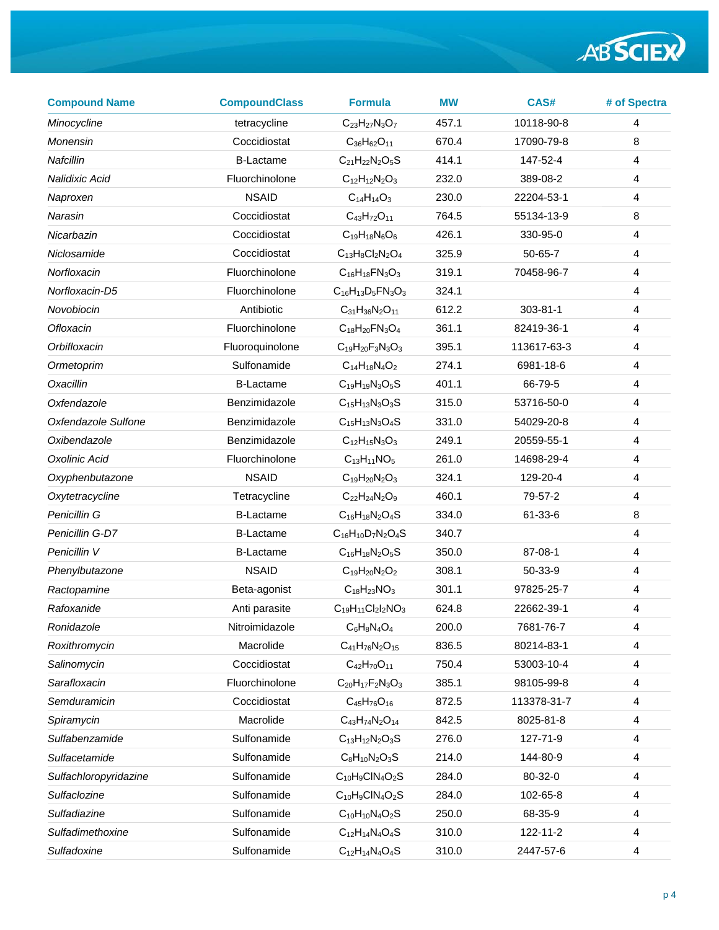| <b>Compound Name</b>  | <b>CompoundClass</b> | <b>Formula</b>                | <b>MW</b> | CAS#           | # of Spectra            |
|-----------------------|----------------------|-------------------------------|-----------|----------------|-------------------------|
| Minocycline           | tetracycline         | $C_{23}H_{27}N_3O_7$          | 457.1     | 10118-90-8     | $\overline{4}$          |
| Monensin              | Coccidiostat         | $C_{36}H_{62}O_{11}$          | 670.4     | 17090-79-8     | 8                       |
| Nafcillin             | <b>B-Lactame</b>     | $C_{21}H_{22}N_{2}O_{5}S$     | 414.1     | 147-52-4       | $\overline{4}$          |
| Nalidixic Acid        | Fluorchinolone       | $C_{12}H_{12}N_2O_3$          | 232.0     | 389-08-2       | $\overline{4}$          |
| Naproxen              | <b>NSAID</b>         | $C_{14}H_{14}O_3$             | 230.0     | 22204-53-1     | $\overline{4}$          |
| Narasin               | Coccidiostat         | $C_{43}H_{72}O_{11}$          | 764.5     | 55134-13-9     | 8                       |
| Nicarbazin            | Coccidiostat         | $C_{19}H_{18}N_6O_6$          | 426.1     | 330-95-0       | 4                       |
| Niclosamide           | Coccidiostat         | $C_{13}H_8Cl_2N_2O_4$         | 325.9     | $50 - 65 - 7$  | $\overline{\mathbf{4}}$ |
| Norfloxacin           | Fluorchinolone       | $C_{16}H_{18}FN_{3}O_{3}$     | 319.1     | 70458-96-7     | $\overline{4}$          |
| Norfloxacin-D5        | Fluorchinolone       | $C_{16}H_{13}D_5FN_3O_3$      | 324.1     |                | 4                       |
| Novobiocin            | Antibiotic           | $C_{31}H_{36}N_2O_{11}$       | 612.2     | $303 - 81 - 1$ | $\overline{\mathbf{4}}$ |
| Ofloxacin             | Fluorchinolone       | $C_{18}H_{20}FN_{3}O_{4}$     | 361.1     | 82419-36-1     | $\overline{4}$          |
| Orbifloxacin          | Fluoroquinolone      | $C_{19}H_{20}F_{3}N_{3}O_{3}$ | 395.1     | 113617-63-3    | $\overline{4}$          |
| Ormetoprim            | Sulfonamide          | $C_{14}H_{18}N_{4}O_{2}$      | 274.1     | 6981-18-6      | $\overline{4}$          |
| Oxacillin             | <b>B-Lactame</b>     | $C_{19}H_{19}N_3O_5S$         | 401.1     | 66-79-5        | 4                       |
| Oxfendazole           | Benzimidazole        | $C_{15}H_{13}N_3O_3S$         | 315.0     | 53716-50-0     | $\overline{4}$          |
| Oxfendazole Sulfone   | Benzimidazole        | $C_{15}H_{13}N_3O_4S$         | 331.0     | 54029-20-8     | $\overline{4}$          |
| Oxibendazole          | Benzimidazole        | $C_{12}H_{15}N_3O_3$          | 249.1     | 20559-55-1     | 4                       |
| Oxolinic Acid         | Fluorchinolone       | $C_{13}H_{11}NO_5$            | 261.0     | 14698-29-4     | $\overline{4}$          |
| Oxyphenbutazone       | <b>NSAID</b>         | $C_{19}H_{20}N_2O_3$          | 324.1     | 129-20-4       | $\overline{4}$          |
| Oxytetracycline       | Tetracycline         | $C_{22}H_{24}N_2O_9$          | 460.1     | 79-57-2        | 4                       |
| Penicillin G          | <b>B-Lactame</b>     | $C_{16}H_{18}N_2O_4S$         | 334.0     | 61-33-6        | 8                       |
| Penicillin G-D7       | <b>B-Lactame</b>     | $C_{16}H_{10}D_7N_2O_4S$      | 340.7     |                | $\overline{4}$          |
| Penicillin V          | <b>B-Lactame</b>     | $C_{16}H_{18}N_2O_5S$         | 350.0     | 87-08-1        | 4                       |
| Phenylbutazone        | <b>NSAID</b>         | $C_{19}H_{20}N_2O_2$          | 308.1     | 50-33-9        | $\overline{4}$          |
| Ractopamine           | Beta-agonist         | $C_{18}H_{23}NO_3$            | 301.1     | 97825-25-7     | $\overline{4}$          |
| Rafoxanide            | Anti parasite        | $C_{19}H_{11}Cl_2I_2NO_3$     | 624.8     | 22662-39-1     | 4                       |
| Ronidazole            | Nitroimidazole       | $C_6H_8N_4O_4$                | 200.0     | 7681-76-7      | 4                       |
| Roxithromycin         | Macrolide            | $C_{41}H_{76}N_2O_{15}$       | 836.5     | 80214-83-1     | $\overline{4}$          |
| Salinomycin           | Coccidiostat         | $C_{42}H_{70}O_{11}$          | 750.4     | 53003-10-4     | 4                       |
| Sarafloxacin          | Fluorchinolone       | $C_{20}H_{17}F_{2}N_{3}O_{3}$ | 385.1     | 98105-99-8     | 4                       |
| Semduramicin          | Coccidiostat         | $C_{45}H_{76}O_{16}$          | 872.5     | 113378-31-7    | $\overline{4}$          |
| Spiramycin            | Macrolide            | $C_{43}H_{74}N_2O_{14}$       | 842.5     | 8025-81-8      | 4                       |
| Sulfabenzamide        | Sulfonamide          | $C_{13}H_{12}N_2O_3S$         | 276.0     | 127-71-9       | 4                       |
| Sulfacetamide         | Sulfonamide          | $C_8H_{10}N_2O_3S$            | 214.0     | 144-80-9       | $\overline{4}$          |
| Sulfachloropyridazine | Sulfonamide          | $C_{10}H_9CIN_4O_2S$          | 284.0     | 80-32-0        | 4                       |
| Sulfaclozine          | Sulfonamide          | $C_{10}H_9CIN_4O_2S$          | 284.0     | 102-65-8       | 4                       |
| Sulfadiazine          | Sulfonamide          | $C_{10}H_{10}N_4O_2S$         | 250.0     | 68-35-9        | $\overline{4}$          |
| Sulfadimethoxine      | Sulfonamide          | $C_{12}H_{14}N_{4}O_{4}S$     | 310.0     | 122-11-2       | 4                       |
| Sulfadoxine           | Sulfonamide          | $C_{12}H_{14}N_4O_4S$         | 310.0     | 2447-57-6      | 4                       |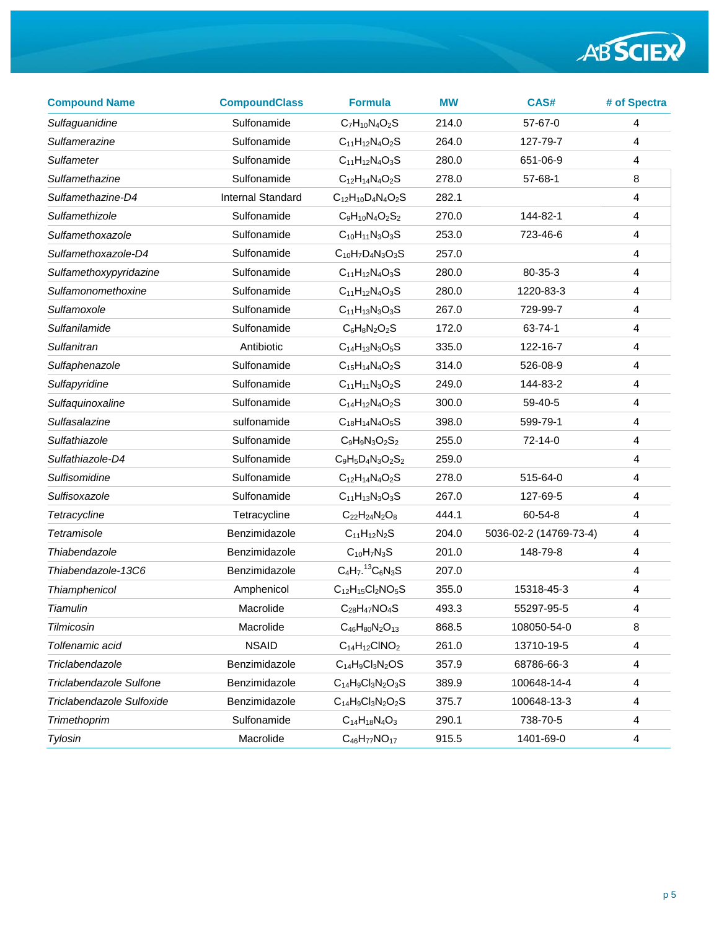| <b>Compound Name</b>      | <b>CompoundClass</b>     | <b>Formula</b>                     | <b>MW</b> | CAS#                   | # of Spectra            |
|---------------------------|--------------------------|------------------------------------|-----------|------------------------|-------------------------|
| Sulfaguanidine            | Sulfonamide              | $C_7H_{10}N_4O_2S$                 | 214.0     | $57-67-0$              | $\overline{4}$          |
| Sulfamerazine             | Sulfonamide              | $C_{11}H_{12}N_{4}O_{2}S$          | 264.0     | 127-79-7               | 4                       |
| <b>Sulfameter</b>         | Sulfonamide              | $C_{11}H_{12}N_{4}O_{3}S$          | 280.0     | 651-06-9               | 4                       |
| Sulfamethazine            | Sulfonamide              | $C_{12}H_{14}N_{4}O_{2}S$          | 278.0     | $57 - 68 - 1$          | 8                       |
| Sulfamethazine-D4         | <b>Internal Standard</b> | $C_{12}H_{10}D_4N_4O_2S$           | 282.1     |                        | $\overline{4}$          |
| Sulfamethizole            | Sulfonamide              | $C_9H_{10}N_4O_2S_2$               | 270.0     | 144-82-1               | 4                       |
| Sulfamethoxazole          | Sulfonamide              | $C_{10}H_{11}N_3O_3S$              | 253.0     | 723-46-6               | 4                       |
| Sulfamethoxazole-D4       | Sulfonamide              | $C_{10}H_7D_4N_3O_3S$              | 257.0     |                        | $\overline{4}$          |
| Sulfamethoxypyridazine    | Sulfonamide              | $C_{11}H_{12}N_{4}O_{3}S$          | 280.0     | 80-35-3                | $\overline{\mathbf{4}}$ |
| Sulfamonomethoxine        | Sulfonamide              | $C_{11}H_{12}N_{4}O_{3}S$          | 280.0     | 1220-83-3              | 4                       |
| Sulfamoxole               | Sulfonamide              | $C_{11}H_{13}N_3O_3S$              | 267.0     | 729-99-7               | $\overline{4}$          |
| Sulfanilamide             | Sulfonamide              | $C_6H_8N_2O_2S$                    | 172.0     | 63-74-1                | 4                       |
| Sulfanitran               | Antibiotic               | $C_{14}H_{13}N_3O_5S$              | 335.0     | 122-16-7               | $\overline{4}$          |
| Sulfaphenazole            | Sulfonamide              | $C_{15}H_{14}N_{4}O_{2}S$          | 314.0     | 526-08-9               | 4                       |
| Sulfapyridine             | Sulfonamide              | $C_{11}H_{11}N_3O_2S$              | 249.0     | 144-83-2               | $\overline{\mathbf{4}}$ |
| Sulfaquinoxaline          | Sulfonamide              | $C_{14}H_{12}N_{4}O_{2}S$          | 300.0     | 59-40-5                | 4                       |
| Sulfasalazine             | sulfonamide              | $C_{18}H_{14}N_{4}O_{5}S$          | 398.0     | 599-79-1               | 4                       |
| Sulfathiazole             | Sulfonamide              | $C_9H_9N_3O_2S_2$                  | 255.0     | 72-14-0                | $\overline{4}$          |
| Sulfathiazole-D4          | Sulfonamide              | $C_9H_5D_4N_3O_2S_2$               | 259.0     |                        | $\overline{4}$          |
| Sulfisomidine             | Sulfonamide              | $C_{12}H_{14}N_{4}O_{2}S$          | 278.0     | 515-64-0               | 4                       |
| Sulfisoxazole             | Sulfonamide              | $C_{11}H_{13}N_3O_3S$              | 267.0     | 127-69-5               | 4                       |
| Tetracycline              | Tetracycline             | $C_{22}H_{24}N_{2}O_{8}$           | 444.1     | 60-54-8                | 4                       |
| Tetramisole               | Benzimidazole            | $C_{11}H_{12}N_2S$                 | 204.0     | 5036-02-2 (14769-73-4) | $\overline{\mathbf{4}}$ |
| Thiabendazole             | Benzimidazole            | $C_{10}H_7N_3S$                    | 201.0     | 148-79-8               | 4                       |
| Thiabendazole-13C6        | Benzimidazole            | $C_4H_7$ . <sup>13</sup> $C_6N_3S$ | 207.0     |                        | 4                       |
| Thiamphenicol             | Amphenicol               | $C_{12}H_{15}Cl_2NO_5S$            | 355.0     | 15318-45-3             | $\overline{\mathbf{4}}$ |
| Tiamulin                  | Macrolide                | $C_{28}H_{47}NO_4S$                | 493.3     | 55297-95-5             | 4                       |
| Tilmicosin                | Macrolide                | $C_{46}H_{80}N_2O_{13}$            | 868.5     | 108050-54-0            | 8                       |
| Tolfenamic acid           | <b>NSAID</b>             | $C_{14}H_{12}CINO2$                | 261.0     | 13710-19-5             | 4                       |
| Triclabendazole           | Benzimidazole            | $C_{14}H_9Cl_3N_2OS$               | 357.9     | 68786-66-3             | 4                       |
| Triclabendazole Sulfone   | Benzimidazole            | $C_{14}H_9Cl_3N_2O_3S$             | 389.9     | 100648-14-4            | 4                       |
| Triclabendazole Sulfoxide | Benzimidazole            | $C_{14}H_9Cl_3N_2O_2S$             | 375.7     | 100648-13-3            | 4                       |
| Trimethoprim              | Sulfonamide              | $C_{14}H_{18}N_{4}O_{3}$           | 290.1     | 738-70-5               | 4                       |
| Tylosin                   | Macrolide                | $C_{46}H_{77}NO_{17}$              | 915.5     | 1401-69-0              | 4                       |